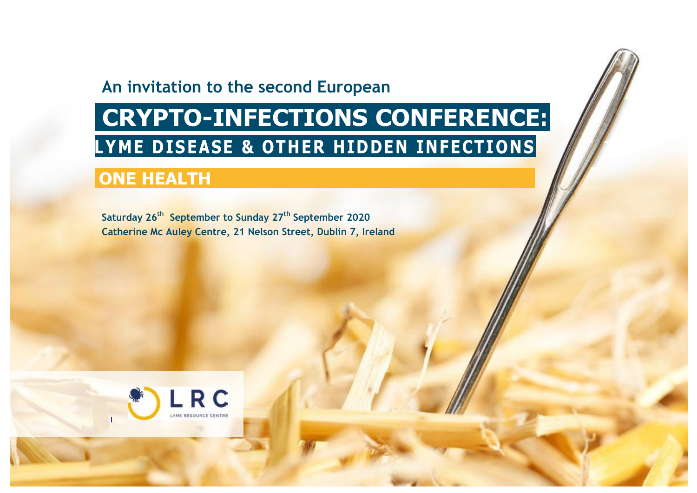# **An invitation to the second European**

# **CRYPTO-INFECTIONS CONFERENCE: LYME DISEASE & OTHER HIDDEN INFECTIONS**

# **ONE HEALTH**

**Saturday 26 th September to Sunday 27 th September 2020 Catherine Mc Auley Centre, 21 Nelson Street, Dublin 7, Ireland**

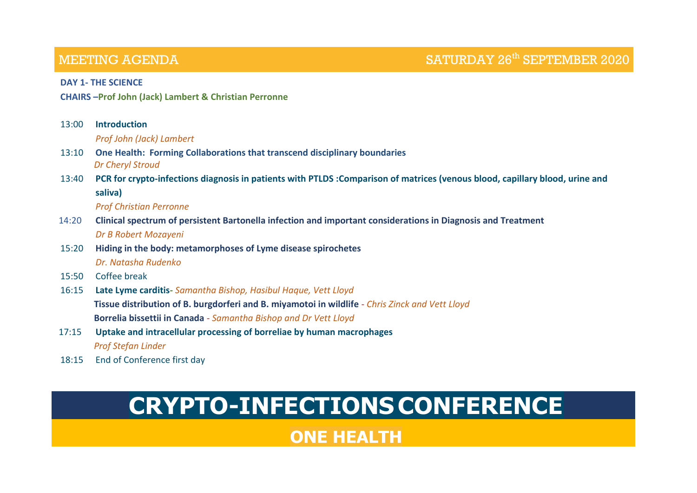### **MEETING AGENDA**

#### **DAY 1- THE SCIENCE**

**CHAIRS –Prof John (Jack) Lambert & Christian Perronne**

| 13:00 | <b>Introduction</b>                                                                                                          |
|-------|------------------------------------------------------------------------------------------------------------------------------|
|       | Prof John (Jack) Lambert                                                                                                     |
| 13:10 | One Health: Forming Collaborations that transcend disciplinary boundaries                                                    |
|       | <b>Dr Cheryl Stroud</b>                                                                                                      |
| 13:40 | PCR for crypto-infections diagnosis in patients with PTLDS: Comparison of matrices (venous blood, capillary blood, urine and |
|       | saliva)                                                                                                                      |
|       | <b>Prof Christian Perronne</b>                                                                                               |
| 14:20 | Clinical spectrum of persistent Bartonella infection and important considerations in Diagnosis and Treatment                 |
|       | Dr B Robert Mozayeni                                                                                                         |
| 15:20 | Hiding in the body: metamorphoses of Lyme disease spirochetes                                                                |
|       | Dr. Natasha Rudenko                                                                                                          |
| 15:50 | Coffee break                                                                                                                 |
| 16:15 | Late Lyme carditis- Samantha Bishop, Hasibul Haque, Vett Lloyd                                                               |
|       | Tissue distribution of B. burgdorferi and B. miyamotoi in wildlife - Chris Zinck and Vett Lloyd                              |
|       | Borrelia bissettii in Canada - Samantha Bishop and Dr Vett Lloyd                                                             |
| 17:15 | Uptake and intracellular processing of borreliae by human macrophages                                                        |
|       | <b>Prof Stefan Linder</b>                                                                                                    |
|       |                                                                                                                              |

18:15 End of Conference first day

# **CRYPTO-INFECTIONSCONFERENCE**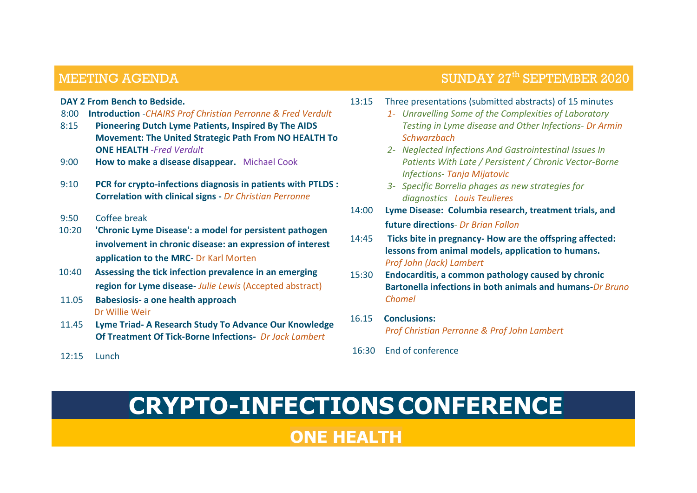### **MEETING AGENDA**

## SUNDAY  $27<sup>th</sup>$  SEPTEMBER 2020

#### **DAY 2 From Bench to Bedside.**

- 8:00 **Introduction** -*CHAIRS Prof Christian Perronne & Fred Verdult*
- 8:15 **Pioneering Dutch Lyme Patients, Inspired By The AIDS Movement: The United Strategic Path From NO HEALTH To ONE HEALTH** *-Fred Verdult*
- 9:00 **How to make a disease disappear.** Michael Cook
- 9:10 **PCR for crypto-infections diagnosis in patients with PTLDS : Correlation with clinical signs -** *Dr Christian Perronne*
- 9:50 Coffee break
- 10:20 **'Chronic Lyme Disease': a model for persistent pathogen involvement in chronic disease: an expression of interest application to the MRC**- Dr Karl Morten
- 10:40 **Assessing the tick infection prevalence in an emerging region for Lyme disease**- *Julie Lewis* (Accepted abstract)
- 11.05 **Babesiosis- a one health approach** Dr Willie Weir
- 11.45 **Lyme Triad- A Research Study To Advance Our Knowledge Of Treatment Of Tick-Borne Infections-** *Dr Jack Lambert*
- 12:15 Lunch
- 13:15 Three presentations (submitted abstracts) of 15 minutes
	- *1- Unravelling Some of the Complexities of Laboratory Testing in Lyme disease and Other Infections- Dr Armin Schwarzbach*
	- *2- Neglected Infections And Gastrointestinal Issues In Patients With Late / Persistent / Chronic Vector-Borne Infections- Tanja Mijatovic*
	- *3- Specific Borrelia phages as new strategies for diagnostics Louis Teulieres*
- 14:00 **Lyme Disease: Columbia research, treatment trials, and future directions***- Dr Brian Fallon*
- 14:45 **Ticks bite in pregnancy- How are the offspring affected: lessons from animal models, application to humans.** *Prof John (Jack) Lambert*
- 15:30 **Endocarditis, a common pathology caused by chronic Bartonella infections in both animals and humans-***Dr Bruno Chomel*
- 16.15 **Conclusions:** *Prof Christian Perronne & Prof John Lambert*
- 16:30 End of conference

# **CRYPTO-INFECTIONSCONFERENCE**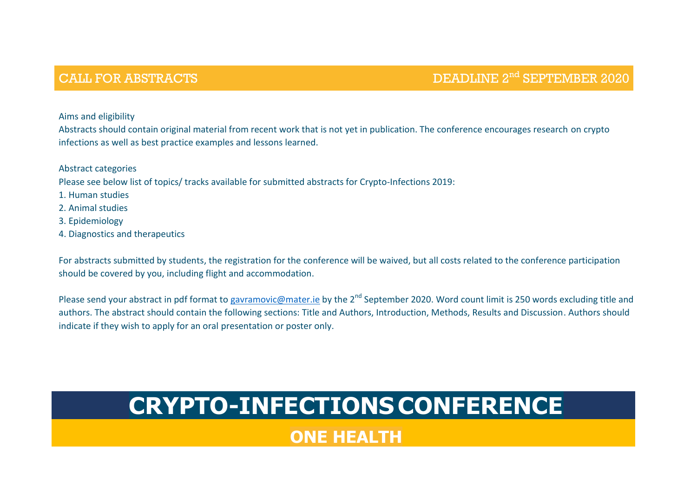## CALL FOR ABSTRACTS

### DEADLINE 2<sup>nd</sup> SEPTEMBER 2020

Aims and eligibility

Abstracts should contain original material from recent work that is not yet in publication. The conference encourages research on crypto infections as well as best practice examples and lessons learned.

Abstract categories

Please see below list of topics/ tracks available for submitted abstracts for Crypto-Infections 2019:

1. Human studies

2. Animal studies

3. Epidemiology

4. Diagnostics and therapeutics

For abstracts submitted by students, the registration for the conference will be waived, but all costs related to the conference participation should be covered by you, including flight and accommodation.

Please send your abstract in pdf format to [gavramovic@mater.ie](mailto:gavramovic@mater.ie) by the 2<sup>nd</sup> September 2020. Word count limit is 250 words excluding title and authors. The abstract should contain the following sections: Title and Authors, Introduction, Methods, Results and Discussion. Authors should indicate if they wish to apply for an oral presentation or poster only.

# **CRYPTO-INFECTIONSCONFERENCE**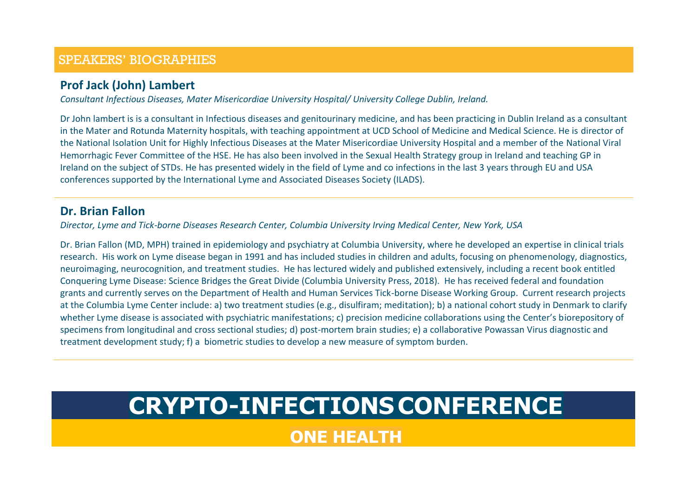### **Prof Jack (John) Lambert**

*Consultant Infectious Diseases, Mater Misericordiae University Hospital/ University College Dublin, Ireland.*

Dr John lambert is is a consultant in Infectious diseases and genitourinary medicine, and has been practicing in Dublin Ireland as a consultant in the Mater and Rotunda Maternity hospitals, with teaching appointment at UCD School of Medicine and Medical Science. He is director of the National Isolation Unit for Highly Infectious Diseases at the Mater Misericordiae University Hospital and a member of the National Viral Hemorrhagic Fever Committee of the HSE. He has also been involved in the Sexual Health Strategy group in Ireland and teaching GP in Ireland on the subject of STDs. He has presented widely in the field of Lyme and co infections in the last 3 years through EU and USA conferences supported by the International Lyme and Associated Diseases Society (ILADS).

#### **Dr. Brian Fallon**

*Director, Lyme and Tick-borne Diseases Research Center, Columbia University Irving Medical Center, New York, USA*

Dr. Brian Fallon (MD, MPH) trained in epidemiology and psychiatry at Columbia University, where he developed an expertise in clinical trials research. His work on Lyme disease began in 1991 and has included studies in children and adults, focusing on phenomenology, diagnostics, neuroimaging, neurocognition, and treatment studies. He has lectured widely and published extensively, including a recent book entitled Conquering Lyme Disease: Science Bridges the Great Divide (Columbia University Press, 2018). He has received federal and foundation grants and currently serves on the Department of Health and Human Services Tick-borne Disease Working Group. Current research projects at the Columbia Lyme Center include: a) two treatment studies (e.g., disulfiram; meditation); b) a national cohort study in Denmark to clarify whether Lyme disease is associated with psychiatric manifestations; c) precision medicine collaborations using the Center's biorepository of specimens from longitudinal and cross sectional studies; d) post-mortem brain studies; e) a collaborative Powassan Virus diagnostic and treatment development study; f) a biometric studies to develop a new measure of symptom burden.

# **CRYPTO-INFECTIONSCONFERENCE**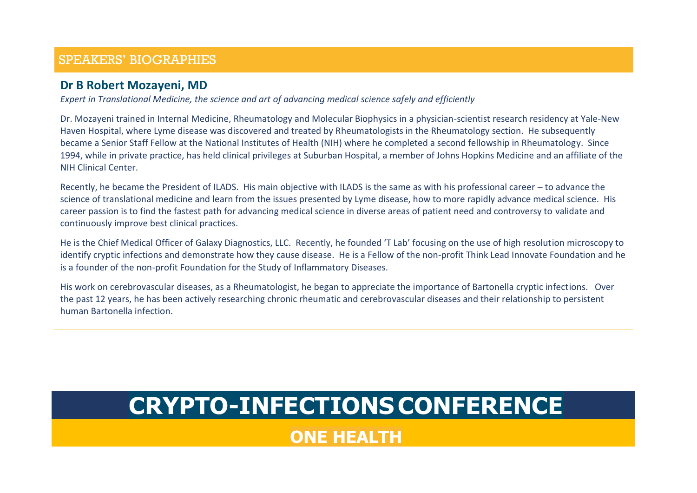#### **Dr B Robert Mozayeni, MD**

*Expert in Translational Medicine, the science and art of advancing medical science safely and efficiently*

Dr. Mozayeni trained in Internal Medicine, Rheumatology and Molecular Biophysics in a physician-scientist research residency at Yale-New Haven Hospital, where Lyme disease was discovered and treated by Rheumatologists in the Rheumatology section. He subsequently became a Senior Staff Fellow at the National Institutes of Health (NIH) where he completed a second fellowship in Rheumatology. Since 1994, while in private practice, has held clinical privileges at Suburban Hospital, a member of Johns Hopkins Medicine and an affiliate of the NIH Clinical Center.

Recently, he became the President of ILADS. His main objective with ILADS is the same as with his professional career – to advance the science of translational medicine and learn from the issues presented by Lyme disease, how to more rapidly advance medical science. His career passion is to find the fastest path for advancing medical science in diverse areas of patient need and controversy to validate and continuously improve best clinical practices.

He is the Chief Medical Officer of Galaxy Diagnostics, LLC. Recently, he founded 'T Lab' focusing on the use of high resolution microscopy to identify cryptic infections and demonstrate how they cause disease. He is a Fellow of the non-profit Think Lead Innovate Foundation and he is a founder of the non-profit Foundation for the Study of Inflammatory Diseases.

His work on cerebrovascular diseases, as a Rheumatologist, he began to appreciate the importance of Bartonella cryptic infections. Over the past 12 years, he has been actively researching chronic rheumatic and cerebrovascular diseases and their relationship to persistent human Bartonella infection.

# **CRYPTO-INFECTIONSCONFERENCE**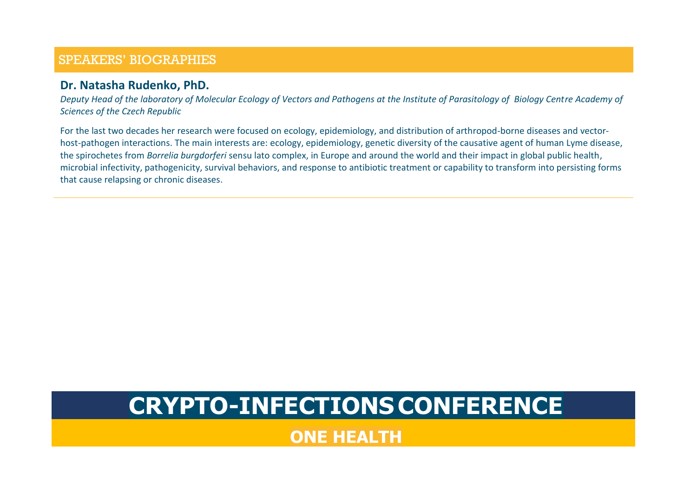#### **Dr. Natasha Rudenko, PhD.**

*Deputy Head of the laboratory of Molecular Ecology of Vectors and Pathogens at the Institute of Parasitology of Biology Centre Academy of Sciences of the Czech Republic*

For the last two decades her research were focused on ecology, epidemiology, and distribution of arthropod-borne diseases and vectorhost-pathogen interactions. The main interests are: ecology, epidemiology, genetic diversity of the causative agent of human Lyme disease, the spirochetes from *Borrelia burgdorferi* sensu lato complex, in Europe and around the world and their impact in global public health, microbial infectivity, pathogenicity, survival behaviors, and response to antibiotic treatment or capability to transform into persisting forms that cause relapsing or chronic diseases.

# **CRYPTO-INFECTIONSCONFERENCE**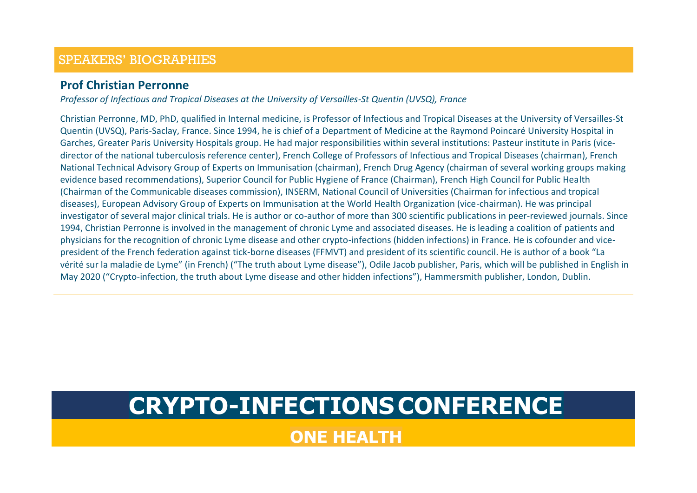#### **Prof Christian Perronne**

*Professor of Infectious and Tropical Diseases at the University of Versailles-St Quentin (UVSQ), France*

Christian Perronne, MD, PhD, qualified in Internal medicine, is Professor of Infectious and Tropical Diseases at the University of Versailles-St Quentin (UVSQ), Paris-Saclay, France. Since 1994, he is chief of a Department of Medicine at the Raymond Poincaré University Hospital in Garches, Greater Paris University Hospitals group. He had major responsibilities within several institutions: Pasteur institute in Paris (vicedirector of the national tuberculosis reference center), French College of Professors of Infectious and Tropical Diseases (chairman), French National Technical Advisory Group of Experts on Immunisation (chairman), French Drug Agency (chairman of several working groups making evidence based recommendations), Superior Council for Public Hygiene of France (Chairman), French High Council for Public Health (Chairman of the Communicable diseases commission), INSERM, National Council of Universities (Chairman for infectious and tropical diseases), European Advisory Group of Experts on Immunisation at the World Health Organization (vice-chairman). He was principal investigator of several major clinical trials. He is author or co-author of more than 300 scientific publications in peer-reviewed journals. Since 1994, Christian Perronne is involved in the management of chronic Lyme and associated diseases. He is leading a coalition of patients and physicians for the recognition of chronic Lyme disease and other crypto-infections (hidden infections) in France. He is cofounder and vicepresident of the French federation against tick-borne diseases (FFMVT) and president of its scientific council. He is author of a book "La vérité sur la maladie de Lyme" (in French) ("The truth about Lyme disease"), Odile Jacob publisher, Paris, which will be published in English in May 2020 ("Crypto-infection, the truth about Lyme disease and other hidden infections"), Hammersmith publisher, London, Dublin.

# **CRYPTO-INFECTIONSCONFERENCE**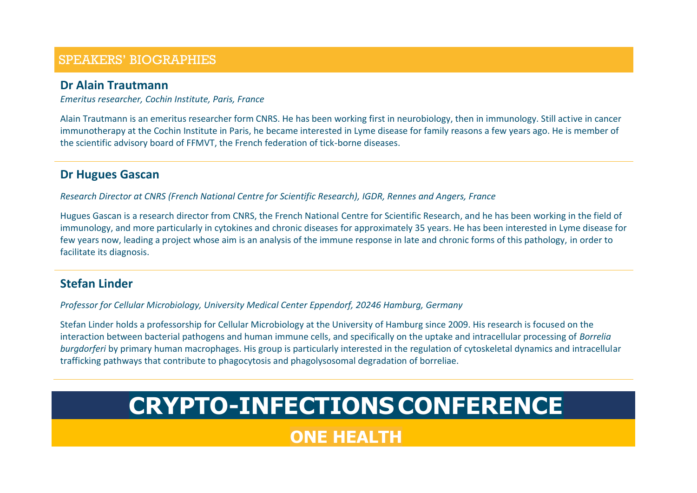#### **Dr Alain Trautmann**

*Emeritus researcher, Cochin Institute, Paris, France*

Alain Trautmann is an emeritus researcher form CNRS. He has been working first in neurobiology, then in immunology. Still active in cancer immunotherapy at the Cochin Institute in Paris, he became interested in Lyme disease for family reasons a few years ago. He is member of the scientific advisory board of FFMVT, the French federation of tick-borne diseases.

#### **Dr Hugues Gascan**

*Research Director at CNRS (French National Centre for Scientific Research), IGDR, Rennes and Angers, France*

Hugues Gascan is a research director from CNRS, the French National Centre for Scientific Research, and he has been working in the field of immunology, and more particularly in cytokines and chronic diseases for approximately 35 years. He has been interested in Lyme disease for few years now, leading a project whose aim is an analysis of the immune response in late and chronic forms of this pathology, in order to facilitate its diagnosis.

### **Stefan Linder**

*Professor for Cellular Microbiology, University Medical Center Eppendorf, 20246 Hamburg, Germany*

Stefan Linder holds a professorship for Cellular Microbiology at the University of Hamburg since 2009. His research is focused on the interaction between bacterial pathogens and human immune cells, and specifically on the uptake and intracellular processing of *Borrelia burgdorferi* by primary human macrophages. His group is particularly interested in the regulation of cytoskeletal dynamics and intracellular trafficking pathways that contribute to phagocytosis and phagolysosomal degradation of borreliae.

# **CRYPTO-INFECTIONSCONFERENCE**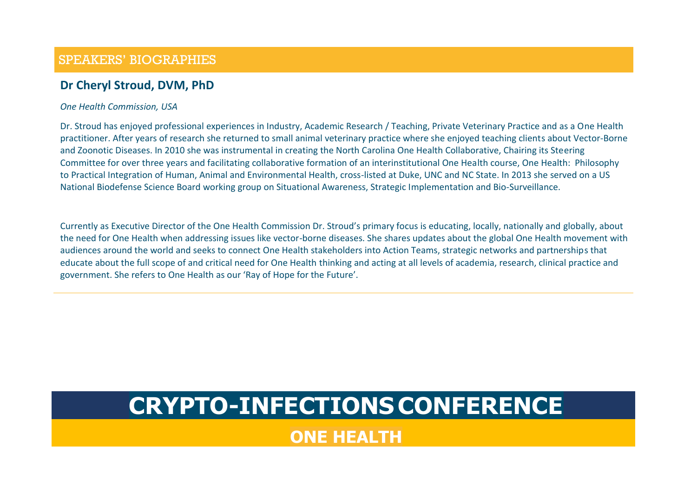### **Dr Cheryl Stroud, DVM, PhD**

#### *One Health Commission, USA*

Dr. Stroud has enjoyed professional experiences in Industry, Academic Research / Teaching, Private Veterinary Practice and as a One Health practitioner. After years of research she returned to small animal veterinary practice where she enjoyed teaching clients about Vector-Borne and Zoonotic Diseases. In 2010 she was instrumental in creating the North Carolina One Health Collaborative, Chairing its Steering Committee for over three years and facilitating collaborative formation of an interinstitutional One Health course, One Health: Philosophy to Practical Integration of Human, Animal and Environmental Health, cross-listed at Duke, UNC and NC State. In 2013 she served on a US National Biodefense Science Board working group on Situational Awareness, Strategic Implementation and Bio-Surveillance.

Currently as Executive Director of the One Health Commission Dr. Stroud's primary focus is educating, locally, nationally and globally, about the need for One Health when addressing issues like vector-borne diseases. She shares updates about the global One Health movement with audiences around the world and seeks to connect One Health stakeholders into Action Teams, strategic networks and partnerships that educate about the full scope of and critical need for One Health thinking and acting at all levels of academia, research, clinical practice and government. She refers to One Health as our 'Ray of Hope for the Future'.

# **CRYPTO-INFECTIONSCONFERENCE**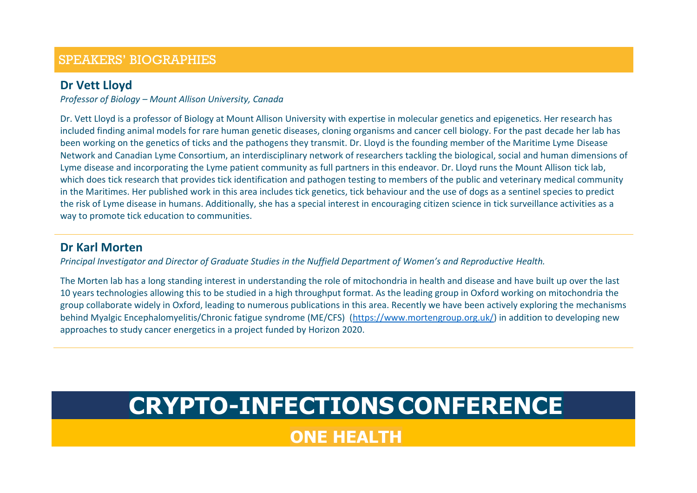#### **Dr Vett Lloyd**

*Professor of Biology – Mount Allison University, Canada*

Dr. Vett Lloyd is a professor of Biology at Mount Allison University with expertise in molecular genetics and epigenetics. Her research has included finding animal models for rare human genetic diseases, cloning organisms and cancer cell biology. For the past decade her lab has been working on the genetics of ticks and the pathogens they transmit. Dr. Lloyd is the founding member of the Maritime Lyme Disease Network and Canadian Lyme Consortium, an interdisciplinary network of researchers tackling the biological, social and human dimensions of Lyme disease and incorporating the Lyme patient community as full partners in this endeavor. Dr. Lloyd runs the Mount Allison tick lab, which does tick research that provides tick identification and pathogen testing to members of the public and veterinary medical community in the Maritimes. Her published work in this area includes tick genetics, tick behaviour and the use of dogs as a sentinel species to predict the risk of Lyme disease in humans. Additionally, she has a special interest in encouraging citizen science in tick surveillance activities as a way to promote tick education to communities.

### **Dr Karl Morten**

*Principal Investigator and Director of Graduate Studies in the Nuffield Department of Women's and Reproductive Health.*

The Morten lab has a long standing interest in understanding the role of mitochondria in health and disease and have built up over the last 10 years technologies allowing this to be studied in a high throughput format. As the leading group in Oxford working on mitochondria the group collaborate widely in Oxford, leading to numerous publications in this area. Recently we have been actively exploring the mechanisms behind Myalgic Encephalomyelitis/Chronic fatigue syndrome (ME/CFS) [\(https://www.mortengroup.org.uk/\)](https://www.mortengroup.org.uk/) in addition to developing new approaches to study cancer energetics in a project funded by Horizon 2020.

# **CRYPTO-INFECTIONSCONFERENCE**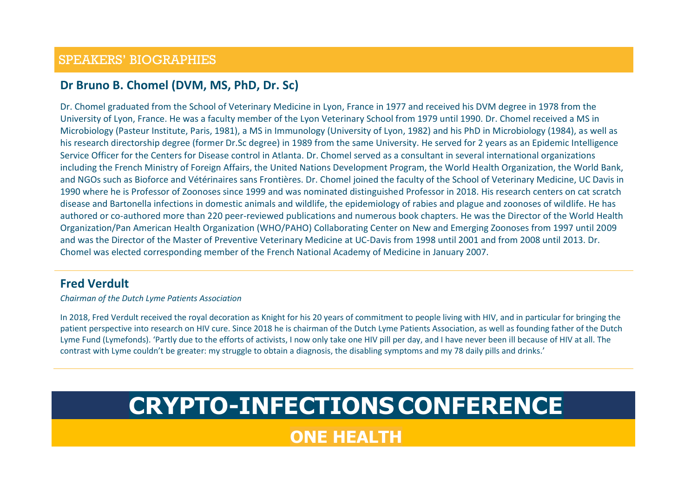### **Dr Bruno B. Chomel (DVM, MS, PhD, Dr. Sc)**

Dr. Chomel graduated from the School of Veterinary Medicine in Lyon, France in 1977 and received his DVM degree in 1978 from the University of Lyon, France. He was a faculty member of the Lyon Veterinary School from 1979 until 1990. Dr. Chomel received a MS in Microbiology (Pasteur Institute, Paris, 1981), a MS in Immunology (University of Lyon, 1982) and his PhD in Microbiology (1984), as well as his research directorship degree (former Dr.Sc degree) in 1989 from the same University. He served for 2 years as an Epidemic Intelligence Service Officer for the Centers for Disease control in Atlanta. Dr. Chomel served as a consultant in several international organizations including the French Ministry of Foreign Affairs, the United Nations Development Program, the World Health Organization, the World Bank, and NGOs such as Bioforce and Vétérinaires sans Frontières. Dr. Chomel joined the faculty of the School of Veterinary Medicine, UC Davis in 1990 where he is Professor of Zoonoses since 1999 and was nominated distinguished Professor in 2018. His research centers on cat scratch disease and Bartonella infections in domestic animals and wildlife, the epidemiology of rabies and plague and zoonoses of wildlife. He has authored or co-authored more than 220 peer-reviewed publications and numerous book chapters. He was the Director of the World Health Organization/Pan American Health Organization (WHO/PAHO) Collaborating Center on New and Emerging Zoonoses from 1997 until 2009 and was the Director of the Master of Preventive Veterinary Medicine at UC-Davis from 1998 until 2001 and from 2008 until 2013. Dr. Chomel was elected corresponding member of the French National Academy of Medicine in January 2007.

#### **Fred Verdult**

*Chairman of the Dutch Lyme Patients Association*

In 2018, Fred Verdult received the royal decoration as Knight for his 20 years of commitment to people living with HIV, and in particular for bringing the patient perspective into research on HIV cure. Since 2018 he is chairman of the Dutch Lyme Patients Association, as well as founding father of the Dutch Lyme Fund (Lymefonds). 'Partly due to the efforts of activists, I now only take one HIV pill per day, and I have never been ill because of HIV at all. The contrast with Lyme couldn't be greater: my struggle to obtain a diagnosis, the disabling symptoms and my 78 daily pills and drinks.'

# **CRYPTO-INFECTIONSCONFERENCE**